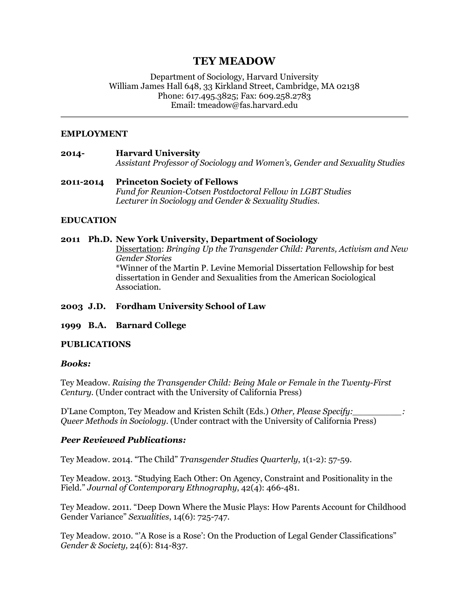# **TEY MEADOW**

Department of Sociology, Harvard University William James Hall 648, 33 Kirkland Street, Cambridge, MA 02138 Phone: 617.495.3825; Fax: 609.258.2783 Email: tmeadow@fas.harvard.edu

## **EMPLOYMENT**

# **2014- Harvard University** *Assistant Professor of Sociology and Women's, Gender and Sexuality Studies*

**2011-2014 Princeton Society of Fellows** *Fund for Reunion-Cotsen Postdoctoral Fellow in LGBT Studies Lecturer in Sociology and Gender & Sexuality Studies.*

## **EDUCATION**

## **2011 Ph.D. New York University, Department of Sociology**

Dissertation: *Bringing Up the Transgender Child: Parents, Activism and New Gender Stories* \*Winner of the Martin P. Levine Memorial Dissertation Fellowship for best dissertation in Gender and Sexualities from the American Sociological Association.

## **2003 J.D. Fordham University School of Law**

## **1999 B.A. Barnard College**

## **PUBLICATIONS**

## *Books:*

Tey Meadow. *Raising the Transgender Child: Being Male or Female in the Twenty-First Century.* (Under contract with the University of California Press)

D'Lane Compton, Tey Meadow and Kristen Schilt (Eds.) *Other, Please Specify:\_\_\_\_\_\_\_\_\_: Queer Methods in Sociology*. (Under contract with the University of California Press)

## *Peer Reviewed Publications:*

Tey Meadow. 2014. "The Child" *Transgender Studies Quarterly*, 1(1-2): 57-59.

Tey Meadow. 2013. "Studying Each Other: On Agency, Constraint and Positionality in the Field." *Journal of Contemporary Ethnography*, 42(4): 466-481.

Tey Meadow. 2011. "Deep Down Where the Music Plays: How Parents Account for Childhood Gender Variance" *Sexualities*, 14(6): 725-747.

Tey Meadow. 2010. "'A Rose is a Rose': On the Production of Legal Gender Classifications" *Gender & Society,* 24(6): 814-837.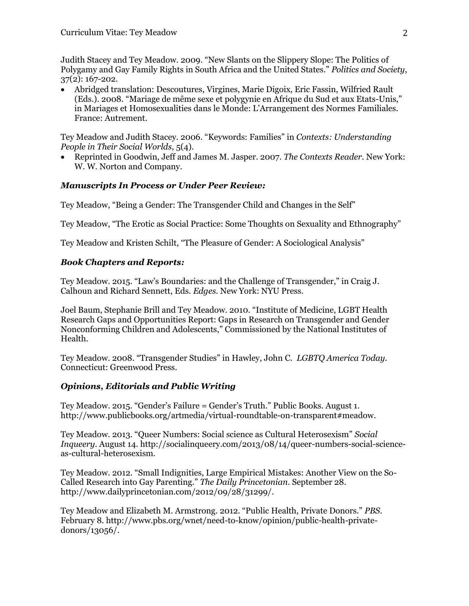Judith Stacey and Tey Meadow. 2009. "New Slants on the Slippery Slope: The Politics of Polygamy and Gay Family Rights in South Africa and the United States." *Politics and Society*, 37(2): 167-202.

 Abridged translation: Descoutures, Virgines, Marie Digoix, Eric Fassin, Wilfried Rault (Eds.). 2008. "Mariage de même sexe et polygynie en Afrique du Sud et aux Etats-Unis," in Mariages et Homosexualities dans le Monde: L'Arrangement des Normes Familiales. France: Autrement.

Tey Meadow and Judith Stacey. 2006. "Keywords: Families" in *Contexts: Understanding People in Their Social Worlds*, 5(4).

 Reprinted in Goodwin, Jeff and James M. Jasper. 2007. *The Contexts Reader*. New York: W. W. Norton and Company.

## *Manuscripts In Process or Under Peer Review:*

Tey Meadow, "Being a Gender: The Transgender Child and Changes in the Self"

Tey Meadow, "The Erotic as Social Practice: Some Thoughts on Sexuality and Ethnography"

Tey Meadow and Kristen Schilt, "The Pleasure of Gender: A Sociological Analysis"

## *Book Chapters and Reports:*

Tey Meadow. 2015. "Law's Boundaries: and the Challenge of Transgender," in Craig J. Calhoun and Richard Sennett, Eds. *Edges*. New York: NYU Press.

Joel Baum, Stephanie Brill and Tey Meadow. 2010. "Institute of Medicine, LGBT Health Research Gaps and Opportunities Report: Gaps in Research on Transgender and Gender Nonconforming Children and Adolescents," Commissioned by the National Institutes of Health.

Tey Meadow. 2008. "Transgender Studies" in Hawley, John C. *LGBTQ America Today*. Connecticut: Greenwood Press.

## *Opinions, Editorials and Public Writing*

Tey Meadow. 2015. "Gender's Failure = Gender's Truth." Public Books. August 1. http://www.publicbooks.org/artmedia/virtual-roundtable-on-transparent#meadow.

Tey Meadow. 2013. "Queer Numbers: Social science as Cultural Heterosexism" *Social Inqueery*. August 14. http://socialinqueery.com/2013/08/14/queer-numbers-social-scienceas-cultural-heterosexism.

Tey Meadow. 2012. "Small Indignities, Large Empirical Mistakes: Another View on the So-Called Research into Gay Parenting." *The Daily Princetonian*. September 28. http://www.dailyprincetonian.com/2012/09/28/31299/.

Tey Meadow and Elizabeth M. Armstrong. 2012. "Public Health, Private Donors." *PBS*. February 8. http://www.pbs.org/wnet/need-to-know/opinion/public-health-privatedonors/13056/.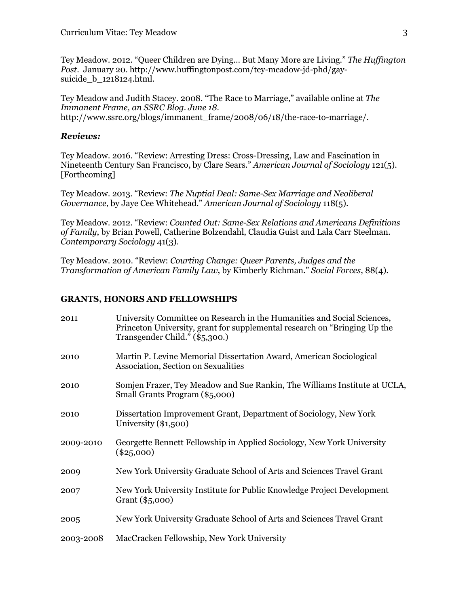Tey Meadow. 2012. "Queer Children are Dying… But Many More are Living." *The Huffington Post*. January 20. http://www.huffingtonpost.com/tey-meadow-jd-phd/gaysuicide\_b\_1218124.html.

Tey Meadow and Judith Stacey. 2008. "The Race to Marriage," available online at *The Immanent Frame, an SSRC Blog. June 18.* http://www.ssrc.org/blogs/immanent\_frame/2008/06/18/the-race-to-marriage/.

### *Reviews:*

Tey Meadow. 2016. "Review: Arresting Dress: Cross-Dressing, Law and Fascination in Nineteenth Century San Francisco, by Clare Sears." *American Journal of Sociology* 121(5). [Forthcoming]

Tey Meadow. 2013. "Review: *The Nuptial Deal: Same-Sex Marriage and Neoliberal Governance*, by Jaye Cee Whitehead." *American Journal of Sociology* 118(5).

Tey Meadow. 2012. "Review: *Counted Out: Same-Sex Relations and Americans Definitions of Family*, by Brian Powell, Catherine Bolzendahl, Claudia Guist and Lala Carr Steelman. *Contemporary Sociology* 41(3).

Tey Meadow. 2010. "Review: *Courting Change: Queer Parents, Judges and the Transformation of American Family Law*, by Kimberly Richman." *Social Forces*, 88(4).

#### **GRANTS, HONORS AND FELLOWSHIPS**

| 2011      | University Committee on Research in the Humanities and Social Sciences,<br>Princeton University, grant for supplemental research on "Bringing Up the<br>Transgender Child." (\$5,300.) |
|-----------|----------------------------------------------------------------------------------------------------------------------------------------------------------------------------------------|
| 2010      | Martin P. Levine Memorial Dissertation Award, American Sociological<br>Association, Section on Sexualities                                                                             |
| 2010      | Somjen Frazer, Tey Meadow and Sue Rankin, The Williams Institute at UCLA,<br>Small Grants Program (\$5,000)                                                                            |
| 2010      | Dissertation Improvement Grant, Department of Sociology, New York<br>University $(\$1,500)$                                                                                            |
| 2009-2010 | Georgette Bennett Fellowship in Applied Sociology, New York University<br>$(\$25,000)$                                                                                                 |
| 2009      | New York University Graduate School of Arts and Sciences Travel Grant                                                                                                                  |
| 2007      | New York University Institute for Public Knowledge Project Development<br>Grant (\$5,000)                                                                                              |
| 2005      | New York University Graduate School of Arts and Sciences Travel Grant                                                                                                                  |
| 2003-2008 | MacCracken Fellowship, New York University                                                                                                                                             |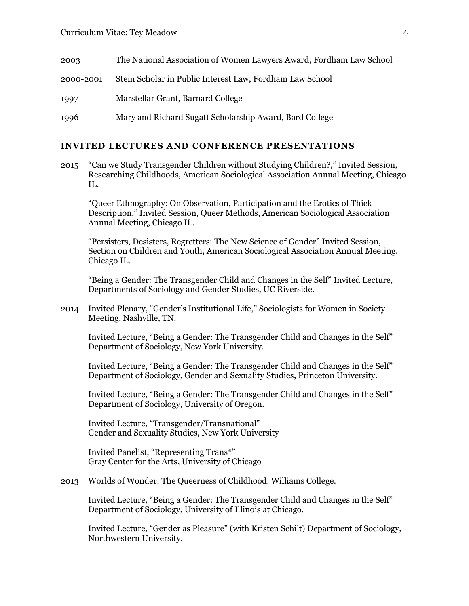| 2003      | The National Association of Women Lawyers Award, Fordham Law School |
|-----------|---------------------------------------------------------------------|
| 2000-2001 | Stein Scholar in Public Interest Law, Fordham Law School            |
| 1997      | Marstellar Grant, Barnard College                                   |
| 1996      | Mary and Richard Sugatt Scholarship Award, Bard College             |

#### **INVITED LECTURES AND CONFERENCE PRESENTATIONS**

2015 "Can we Study Transgender Children without Studying Children?," Invited Session, Researching Childhoods, American Sociological Association Annual Meeting, Chicago IL.

"Queer Ethnography: On Observation, Participation and the Erotics of Thick Description," Invited Session, Queer Methods, American Sociological Association Annual Meeting, Chicago IL.

"Persisters, Desisters, Regretters: The New Science of Gender" Invited Session, Section on Children and Youth, American Sociological Association Annual Meeting, Chicago IL.

"Being a Gender: The Transgender Child and Changes in the Self" Invited Lecture, Departments of Sociology and Gender Studies, UC Riverside.

2014 Invited Plenary, "Gender's Institutional Life," Sociologists for Women in Society Meeting, Nashville, TN.

Invited Lecture, "Being a Gender: The Transgender Child and Changes in the Self" Department of Sociology, New York University.

Invited Lecture, "Being a Gender: The Transgender Child and Changes in the Self" Department of Sociology, Gender and Sexuality Studies, Princeton University.

Invited Lecture, "Being a Gender: The Transgender Child and Changes in the Self" Department of Sociology, University of Oregon.

Invited Lecture, "Transgender/Transnational" Gender and Sexuality Studies, New York University

Invited Panelist, "Representing Trans\*" Gray Center for the Arts, University of Chicago

2013 Worlds of Wonder: The Queerness of Childhood. Williams College.

Invited Lecture, "Being a Gender: The Transgender Child and Changes in the Self" Department of Sociology, University of Illinois at Chicago.

Invited Lecture, "Gender as Pleasure" (with Kristen Schilt) Department of Sociology, Northwestern University.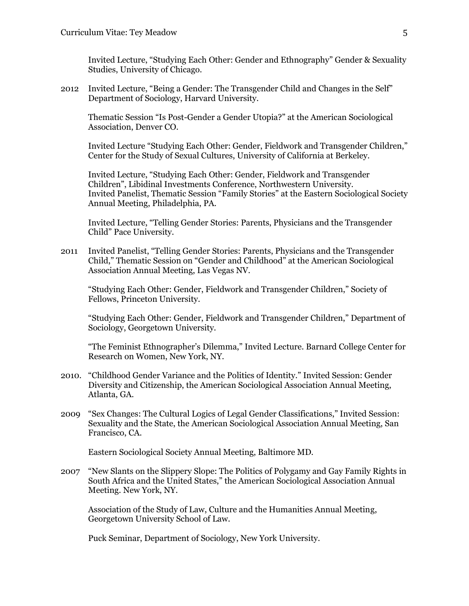Invited Lecture, "Studying Each Other: Gender and Ethnography" Gender & Sexuality Studies, University of Chicago.

2012 Invited Lecture, "Being a Gender: The Transgender Child and Changes in the Self" Department of Sociology, Harvard University.

Thematic Session "Is Post-Gender a Gender Utopia?" at the American Sociological Association, Denver CO.

Invited Lecture "Studying Each Other: Gender, Fieldwork and Transgender Children," Center for the Study of Sexual Cultures, University of California at Berkeley.

Invited Lecture, "Studying Each Other: Gender, Fieldwork and Transgender Children", Libidinal Investments Conference, Northwestern University. Invited Panelist, Thematic Session "Family Stories" at the Eastern Sociological Society Annual Meeting, Philadelphia, PA.

Invited Lecture, "Telling Gender Stories: Parents, Physicians and the Transgender Child" Pace University.

2011 Invited Panelist, "Telling Gender Stories: Parents, Physicians and the Transgender Child," Thematic Session on "Gender and Childhood" at the American Sociological Association Annual Meeting, Las Vegas NV.

"Studying Each Other: Gender, Fieldwork and Transgender Children," Society of Fellows, Princeton University.

"Studying Each Other: Gender, Fieldwork and Transgender Children," Department of Sociology, Georgetown University.

"The Feminist Ethnographer's Dilemma," Invited Lecture. Barnard College Center for Research on Women, New York, NY.

- 2010. "Childhood Gender Variance and the Politics of Identity." Invited Session: Gender Diversity and Citizenship, the American Sociological Association Annual Meeting, Atlanta, GA.
- 2009 "Sex Changes: The Cultural Logics of Legal Gender Classifications," Invited Session: Sexuality and the State, the American Sociological Association Annual Meeting, San Francisco, CA.

Eastern Sociological Society Annual Meeting, Baltimore MD.

2007 "New Slants on the Slippery Slope: The Politics of Polygamy and Gay Family Rights in South Africa and the United States," the American Sociological Association Annual Meeting. New York, NY.

Association of the Study of Law, Culture and the Humanities Annual Meeting, Georgetown University School of Law.

Puck Seminar, Department of Sociology, New York University.